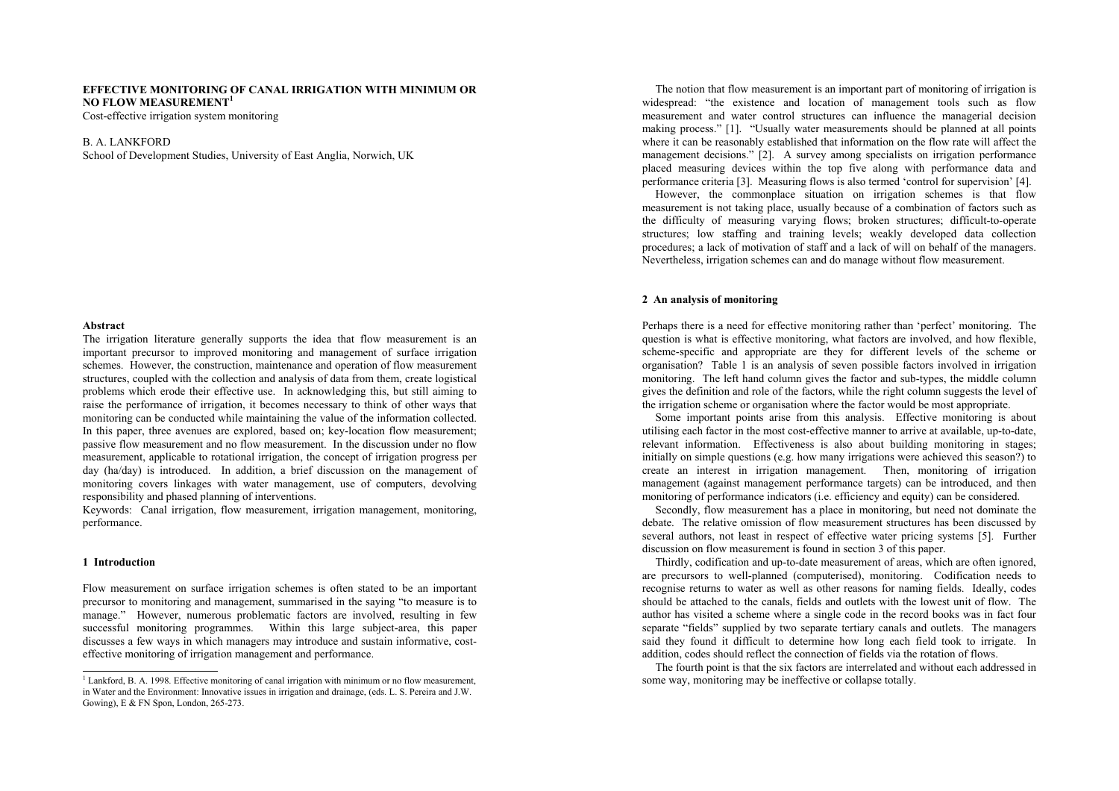## **EFFECTIVE MONITORING OF CANAL IRRIGATION WITH MINIMUM OR NO FLOW MEASUREMENT<sup>1</sup>**

Cost-effective irrigation system monitoring

## B. A. LANKFORD

School of Development Studies, University of East Anglia, Norwich, UK

# **Abstract**

The irrigation literature generally supports the idea that flow measurement is an important precursor to improved monitoring and management of surface irrigation schemes. However, the construction, maintenance and operation of flow measurement structures, coupled with the collection and analysis of data from them, create logistical problems which erode their effective use. In acknowledging this, but still aiming to raise the performance of irrigation, it becomes necessary to think of other ways that monitoring can be conducted while maintaining the value of the information collected. In this paper, three avenues are explored, based on; key-location flow measurement; passive flow measurement and no flow measurement. In the discussion under no flow measurement, applicable to rotational irrigation, the concept of irrigation progress per day (ha/day) is introduced. In addition, a brief discussion on the management of monitoring covers linkages with water management, use of computers, devolving responsibility and phased planning of interventions.

Keywords: Canal irrigation, flow measurement, irrigation management, monitoring, performance.

## **1 Introduction**

Flow measurement on surface irrigation schemes is often stated to be an important precursor to monitoring and management, summarised in the saying "to measure is to manage." However, numerous problematic factors are involved, resulting in few successful monitoring programmes. Within this large subject-area, this paper discusses a few ways in which managers may introduce and sustain informative, costeffective monitoring of irrigation management and performance.

The notion that flow measurement is an important part of monitoring of irrigation is widespread: "the existence and location of management tools such as flow measurement and water control structures can influence the managerial decision making process." [1]. "Usually water measurements should be planned at all points where it can be reasonably established that information on the flow rate will affect the management decisions." [2]. A survey among specialists on irrigation performance placed measuring devices within the top five along with performance data and performance criteria [3]. Measuring flows is also termed 'control for supervision' [4]. However, the commonplace situation on irrigation schemes is that flow measurement is not taking place, usually because of a combination of factors such as the difficulty of measuring varying flows; broken structures; difficult-to-operate structures; low staffing and training levels; weakly developed data collection procedures; a lack of motivation of staff and a lack of will on behalf of the managers. Nevertheless, irrigation schemes can and do manage without flow measurement.

### **2 An analysis of monitoring**

Perhaps there is a need for effective monitoring rather than 'perfect' monitoring. The question is what is effective monitoring, what factors are involved, and how flexible, scheme-specific and appropriate are they for different levels of the scheme or organisation? Table 1 is an analysis of seven possible factors involved in irrigation monitoring. The left hand column gives the factor and sub-types, the middle column gives the definition and role of the factors, while the right column suggests the level of the irrigation scheme or organisation where the factor would be most appropriate.

Some important points arise from this analysis. Effective monitoring is about utilising each factor in the most cost-effective manner to arrive at available, up-to-date, relevant information. Effectiveness is also about building monitoring in stages; initially on simple questions (e.g. how many irrigations were achieved this season?) to create an interest in irrigation management. Then, monitoring of irrigation management (against management performance targets) can be introduced, and then monitoring of performance indicators (i.e. efficiency and equity) can be considered.

Secondly, flow measurement has a place in monitoring, but need not dominate the debate. The relative omission of flow measurement structures has been discussed by several authors, not least in respect of effective water pricing systems [5]. Further discussion on flow measurement is found in section 3 of this paper.

Thirdly, codification and up-to-date measurement of areas, which are often ignored, are precursors to well-planned (computerised), monitoring. Codification needs to recognise returns to water as well as other reasons for naming fields. Ideally, codes should be attached to the canals, fields and outlets with the lowest unit of flow. The author has visited a scheme where a single code in the record books was in fact four separate "fields" supplied by two separate tertiary canals and outlets. The managers said they found it difficult to determine how long each field took to irrigate. In addition, codes should reflect the connection of fields via the rotation of flows.

The fourth point is that the six factors are interrelated and without each addressed in some way, monitoring may be ineffective or collapse totally.

<sup>&</sup>lt;sup>1</sup> Lankford, B. A. 1998. Effective monitoring of canal irrigation with minimum or no flow measurement, in Water and the Environment: Innovative issues in irrigation and drainage, (eds. L. S. Pereira and J.W. Gowing), E & FN Spon, London, 265-273.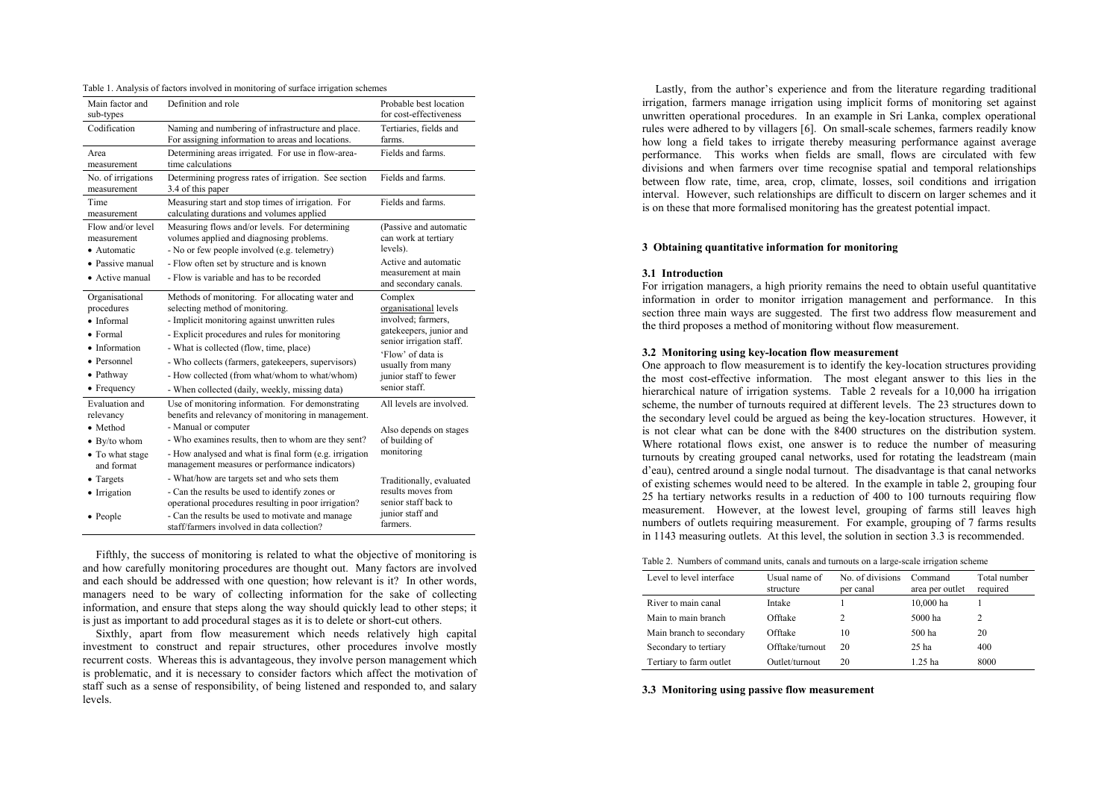| Main factor and<br>sub-types                                                                                               | Definition and role                                                                                                                                                                                                                                                                                                                                                                       | Probable best location<br>for cost-effectiveness                                                                                                                                                  |  |
|----------------------------------------------------------------------------------------------------------------------------|-------------------------------------------------------------------------------------------------------------------------------------------------------------------------------------------------------------------------------------------------------------------------------------------------------------------------------------------------------------------------------------------|---------------------------------------------------------------------------------------------------------------------------------------------------------------------------------------------------|--|
| Codification                                                                                                               | Naming and numbering of infrastructure and place.<br>For assigning information to areas and locations.                                                                                                                                                                                                                                                                                    | Tertiaries, fields and<br>farms.                                                                                                                                                                  |  |
| Area<br>measurement                                                                                                        | Determining areas irrigated. For use in flow-area-<br>time calculations                                                                                                                                                                                                                                                                                                                   | Fields and farms.                                                                                                                                                                                 |  |
| No. of irrigations<br>measurement                                                                                          | Determining progress rates of irrigation. See section<br>3.4 of this paper                                                                                                                                                                                                                                                                                                                | Fields and farms.                                                                                                                                                                                 |  |
| Time<br>measurement                                                                                                        | Measuring start and stop times of irrigation. For<br>calculating durations and volumes applied                                                                                                                                                                                                                                                                                            | Fields and farms.                                                                                                                                                                                 |  |
| Flow and/or level<br>measurement<br>• Automatic<br>• Passive manual                                                        | Measuring flows and/or levels. For determining<br>volumes applied and diagnosing problems.<br>- No or few people involved (e.g. telemetry)<br>- Flow often set by structure and is known                                                                                                                                                                                                  | (Passive and automatic<br>can work at tertiary<br>levels).<br>Active and automatic                                                                                                                |  |
| • Active manual                                                                                                            | - Flow is variable and has to be recorded                                                                                                                                                                                                                                                                                                                                                 | measurement at main<br>and secondary canals.                                                                                                                                                      |  |
| Organisational<br>procedures<br>• Informal<br>$\bullet$ Formal<br>• Information<br>• Personnel<br>• Pathway<br>• Frequency | Methods of monitoring. For allocating water and<br>selecting method of monitoring.<br>- Implicit monitoring against unwritten rules<br>- Explicit procedures and rules for monitoring<br>- What is collected (flow, time, place)<br>- Who collects (farmers, gatekeepers, supervisors)<br>- How collected (from what/whom to what/whom)<br>- When collected (daily, weekly, missing data) | Complex<br>organisational levels<br>involved; farmers,<br>gatekeepers, junior and<br>senior irrigation staff.<br>'Flow' of data is<br>usually from many<br>junior staff to fewer<br>senior staff. |  |
| Evaluation and<br>relevancy<br>• Method<br>$\bullet$ By/to whom<br>• To what stage<br>and format                           | Use of monitoring information. For demonstrating<br>benefits and relevancy of monitoring in management.<br>- Manual or computer<br>- Who examines results, then to whom are they sent?<br>- How analysed and what is final form (e.g. irrigation<br>management measures or performance indicators)                                                                                        | All levels are involved.<br>Also depends on stages<br>of building of<br>monitoring                                                                                                                |  |
| • Targets<br>• Irrigation<br>• People                                                                                      | - What/how are targets set and who sets them<br>- Can the results be used to identify zones or<br>operational procedures resulting in poor irrigation?<br>- Can the results be used to motivate and manage<br>staff/farmers involved in data collection?                                                                                                                                  | Traditionally, evaluated<br>results moves from<br>senior staff back to<br>junior staff and<br>farmers.                                                                                            |  |

Table 1. Analysis of factors involved in monitoring of surface irrigation schemes

Fifthly, the success of monitoring is related to what the objective of monitoring is and how carefully monitoring procedures are thought out. Many factors are involved and each should be addressed with one question; how relevant is it? In other words, managers need to be wary of collecting information for the sake of collecting information, and ensure that steps along the way should quickly lead to other steps; it is just as important to add procedural stages as it is to delete or short-cut others.

Sixthly, apart from flow measurement which needs relatively high capital investment to construct and repair structures, other procedures involve mostly recurrent costs. Whereas this is advantageous, they involve person management which is problematic, and it is necessary to consider factors which affect the motivation of staff such as a sense of responsibility, of being listened and responded to, and salary levels.

Lastly, from the author's experience and from the literature regarding traditional irrigation, farmers manage irrigation using implicit forms of monitoring set against unwritten operational procedures. In an example in Sri Lanka, complex operational rules were adhered to by villagers [6]. On small-scale schemes, farmers readily know how long a field takes to irrigate thereby measuring performance against average performance. This works when fields are small, flows are circulated with few divisions and when farmers over time recognise spatial and temporal relationships between flow rate, time, area, crop, climate, losses, soil conditions and irrigation interval. However, such relationships are difficult to discern on larger schemes and it is on these that more formalised monitoring has the greatest potential impact.

#### **3 Obtaining quantitative information for monitoring**

### **3.1 Introduction**

For irrigation managers, a high priority remains the need to obtain useful quantitative information in order to monitor irrigation management and performance. In this section three main ways are suggested. The first two address flow measurement and the third proposes a method of monitoring without flow measurement.

#### **3.2 Monitoring using key-location flow measurement**

One approach to flow measurement is to identify the key-location structures providing the most cost-effective information. The most elegant answer to this lies in the hierarchical nature of irrigation systems. Table 2 reveals for a 10,000 ha irrigation scheme, the number of turnouts required at different levels. The 23 structures down to the secondary level could be argued as being the key-location structures. However, it is not clear what can be done with the 8400 structures on the distribution system. Where rotational flows exist, one answer is to reduce the number of measuring turnouts by creating grouped canal networks, used for rotating the leadstream (main d'eau), centred around a single nodal turnout. The disadvantage is that canal networks of existing schemes would need to be altered. In the example in table 2, grouping four 25 ha tertiary networks results in a reduction of 400 to 100 turnouts requiring flow measurement. However, at the lowest level, grouping of farms still leaves high numbers of outlets requiring measurement. For example, grouping of 7 farms results in 1143 measuring outlets. At this level, the solution in section 3.3 is recommended.

Table 2. Numbers of command units, canals and turnouts on a large-scale irrigation scheme

| Level to level interface | Usual name of<br>structure | No. of divisions<br>per canal | Command<br>area per outlet | Total number<br>required |
|--------------------------|----------------------------|-------------------------------|----------------------------|--------------------------|
| River to main canal      | Intake                     |                               | 10,000 ha                  |                          |
| Main to main branch      | Offtake                    |                               | 5000 ha                    |                          |
| Main branch to secondary | Offtake                    | 10                            | 500 ha                     | 20                       |
| Secondary to tertiary    | Offtake/turnout            | 20                            | $25$ ha                    | 400                      |
| Tertiary to farm outlet  | Outlet/turnout             | 20                            | 1.25 ha                    | 8000                     |

## **3.3 Monitoring using passive flow measurement**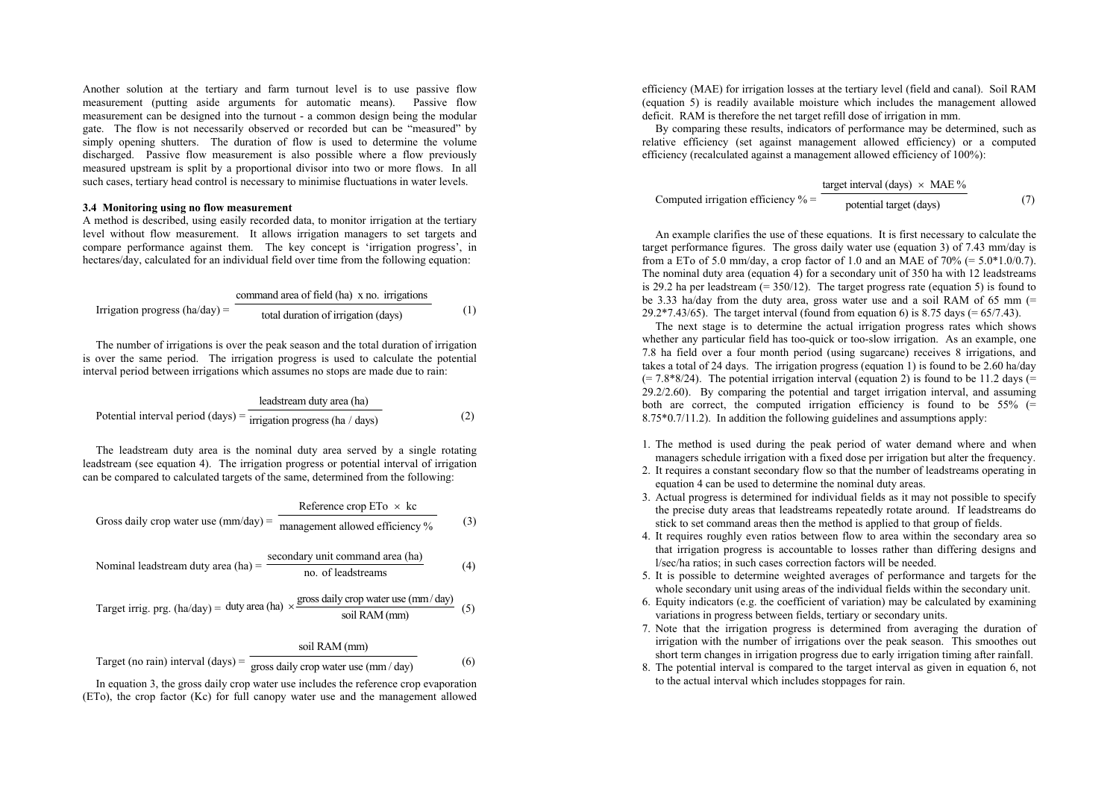Another solution at the tertiary and farm turnout level is to use passive flow measurement (putting aside arguments for automatic means). Passive flow measurement can be designed into the turnout - a common design being the modular gate. The flow is not necessarily observed or recorded but can be "measured" by simply opening shutters. The duration of flow is used to determine the volume discharged. Passive flow measurement is also possible where a flow previously measured upstream is split by a proportional divisor into two or more flows. In all such cases, tertiary head control is necessary to minimise fluctuations in water levels.

# **3.4 Monitoring using no flow measurement**

A method is described, using easily recorded data, to monitor irrigation at the tertiary level without flow measurement. It allows irrigation managers to set targets and compare performance against them. The key concept is 'irrigation progress', in hectares/day, calculated for an individual field over time from the following equation:

$$
Irrigation progress (ha/day) = \frac{\text{command area of field (ha) x no. irrigations}}{\text{total duration of irrigation (days)}}\tag{1}
$$

The number of irrigations is over the peak season and the total duration of irrigation is over the same period. The irrigation progress is used to calculate the potential interval period between irrigations which assumes no stops are made due to rain:

Potential interval period (days) = 
$$
\frac{\text{leadstream duty area (ha)}}{\text{irrigation progress (ha / days)}}
$$
 (2)

The leadstream duty area is the nominal duty area served by a single rotating leadstream (see equation 4). The irrigation progress or potential interval of irrigation can be compared to calculated targets of the same, determined from the following:

Gross daily crop water use 
$$
(mm/day) = \frac{\text{Reference crop ETo } \times \text{ kc}}{\text{managerment allowed efficiency } \%}
$$
 (3)

$$
Nominal leadersum duty area (ha) = \frac{secondary unit command area (ha)}{no. of leadersms}
$$
\n(4)

Target irrig. prg. (ha/day) = duty area (ha) 
$$
\times \frac{\text{gross daily crop water use (mm/day)}}{\text{soil RAM (mm)}}
$$
 (5)

Target (no rain) interval (days) = 
$$
\frac{\text{soil RAM (mm)}}{\text{gross daily crop water use (mm / day)}} \tag{6}
$$

In equation 3, the gross daily crop water use includes the reference crop evaporation (ETo), the crop factor (Kc) for full canopy water use and the management allowed efficiency (MAE) for irrigation losses at the tertiary level (field and canal). Soil RAM (equation 5) is readily available moisture which includes the management allowed deficit. RAM is therefore the net target refill dose of irrigation in mm.

By comparing these results, indicators of performance may be determined, such as relative efficiency (set against management allowed efficiency) or a computed efficiency (recalculated against a management allowed efficiency of 100%):

$$
Computed irrigation efficiency % = \frac{\text{target interval (days)} \times \text{MAE %}}{\text{potential target (days)}}
$$
 (7)

An example clarifies the use of these equations. It is first necessary to calculate the target performance figures. The gross daily water use (equation 3) of 7.43 mm/day is from a ETo of 5.0 mm/day, a crop factor of 1.0 and an MAE of 70% (=  $5.0*1.0/0.7$ ). The nominal duty area (equation 4) for a secondary unit of 350 ha with 12 leadstreams is 29.2 ha per leadstream  $(= 350/12)$ . The target progress rate (equation 5) is found to be 3.33 ha/day from the duty area, gross water use and a soil RAM of 65 mm (= 29.2\*7.43/65). The target interval (found from equation 6) is 8.75 days (=  $65/7.43$ ).

The next stage is to determine the actual irrigation progress rates which shows whether any particular field has too-quick or too-slow irrigation. As an example, one 7.8 ha field over a four month period (using sugarcane) receives 8 irrigations, and takes a total of 24 days. The irrigation progress (equation 1) is found to be 2.60 ha/day  $(= 7.8*8/24)$ . The potential irrigation interval (equation 2) is found to be 11.2 days (= 29.2/2.60). By comparing the potential and target irrigation interval, and assuming both are correct, the computed irrigation efficiency is found to be  $55\%$  (= 8.75\*0.7/11.2). In addition the following guidelines and assumptions apply:

- 1. The method is used during the peak period of water demand where and when managers schedule irrigation with a fixed dose per irrigation but alter the frequency.
- 2. It requires a constant secondary flow so that the number of leadstreams operating in equation 4 can be used to determine the nominal duty areas.
- 3. Actual progress is determined for individual fields as it may not possible to specify the precise duty areas that leadstreams repeatedly rotate around. If leadstreams do stick to set command areas then the method is applied to that group of fields.
- 4. It requires roughly even ratios between flow to area within the secondary area so that irrigation progress is accountable to losses rather than differing designs and l/sec/ha ratios; in such cases correction factors will be needed.
- 5. It is possible to determine weighted averages of performance and targets for the whole secondary unit using areas of the individual fields within the secondary unit.
- 6. Equity indicators (e.g. the coefficient of variation) may be calculated by examining variations in progress between fields, tertiary or secondary units.
- 7. Note that the irrigation progress is determined from averaging the duration of irrigation with the number of irrigations over the peak season. This smoothes out short term changes in irrigation progress due to early irrigation timing after rainfall.
- 8. The potential interval is compared to the target interval as given in equation 6, not to the actual interval which includes stoppages for rain.